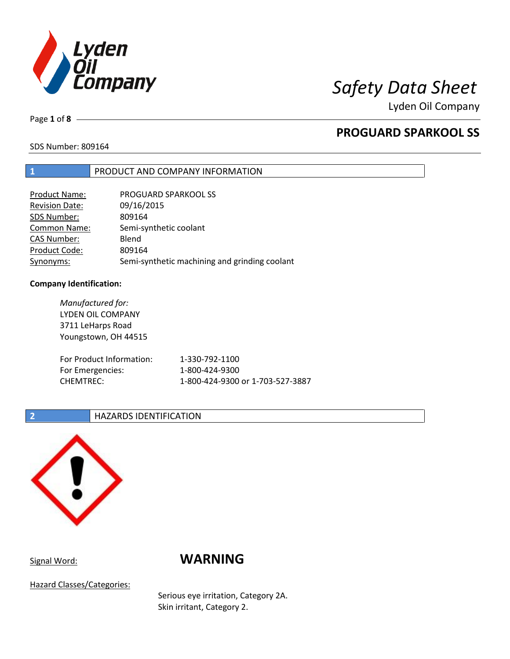

Lyden Oil Company

Page **1** of **8**

# **PROGUARD SPARKOOL SS**

SDS Number: 809164

# **1** PRODUCT AND COMPANY INFORMATION

| Product Name:         | <b>PROGUARD SPARKOOL SS</b>                   |
|-----------------------|-----------------------------------------------|
| <b>Revision Date:</b> | 09/16/2015                                    |
| SDS Number:           | 809164                                        |
| <b>Common Name:</b>   | Semi-synthetic coolant                        |
| <b>CAS Number:</b>    | Blend                                         |
| Product Code:         | 809164                                        |
| Synonyms:             | Semi-synthetic machining and grinding coolant |

### **Company Identification:**

*Manufactured for:* LYDEN OIL COMPANY 3711 LeHarps Road Youngstown, OH 44515 For Product Information: 1-330-792-1100 For Emergencies: 1-800-424-9300 CHEMTREC: 1-800-424-9300 or 1-703-527-3887

## **2 HAZARDS IDENTIFICATION**



# Signal Word: **WARNING**

Hazard Classes/Categories:

Serious eye irritation, Category 2A. Skin irritant, Category 2.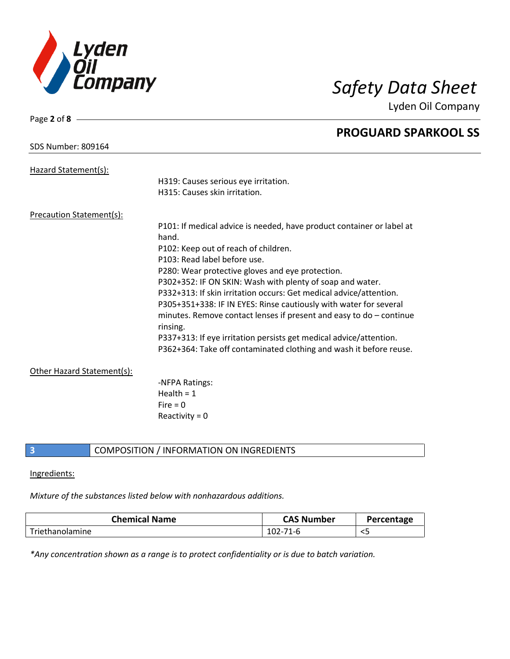

Page **2** of **8**

Lyden Oil Company

|                            | <b>PROGUARD SPARKOOL SS</b>                                                       |
|----------------------------|-----------------------------------------------------------------------------------|
| <b>SDS Number: 809164</b>  |                                                                                   |
| Hazard Statement(s):       |                                                                                   |
|                            | H319: Causes serious eye irritation.                                              |
|                            | H315: Causes skin irritation.                                                     |
| Precaution Statement(s):   |                                                                                   |
|                            | P101: If medical advice is needed, have product container or label at             |
|                            | hand.                                                                             |
|                            | P102: Keep out of reach of children.                                              |
|                            | P103: Read label before use.                                                      |
|                            | P280: Wear protective gloves and eye protection.                                  |
|                            | P302+352: IF ON SKIN: Wash with plenty of soap and water.                         |
|                            | P332+313: If skin irritation occurs: Get medical advice/attention.                |
|                            | P305+351+338: IF IN EYES: Rinse cautiously with water for several                 |
|                            | minutes. Remove contact lenses if present and easy to $do$ – continue<br>rinsing. |
|                            | P337+313: If eye irritation persists get medical advice/attention.                |
|                            | P362+364: Take off contaminated clothing and wash it before reuse.                |
| Other Hazard Statement(s): |                                                                                   |
|                            | -NFPA Ratings:                                                                    |
|                            | Health = $1$                                                                      |
|                            | Fire $= 0$                                                                        |
|                            | Reactivity = $0$                                                                  |
|                            |                                                                                   |

# **3** COMPOSITION / INFORMATION ON INGREDIENTS

### Ingredients:

### *Mixture of the substances listed below with nonhazardous additions.*

| <b>Chemical Name</b> | <b>CAS Number</b> | Percentage |
|----------------------|-------------------|------------|
| Triethanolamine      | <sup>71</sup> -b  |            |

*\*Any concentration shown as a range is to protect confidentiality or is due to batch variation.*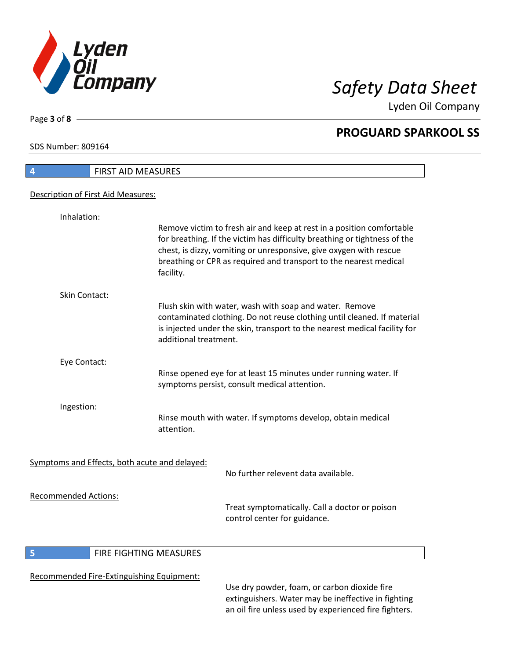

Lyden Oil Company

SDS Number: 809164

Page **3** of **8**

| 4                                  | <b>FIRST AID MEASURES</b>                                                                                                                                                                                                                                                                                  |
|------------------------------------|------------------------------------------------------------------------------------------------------------------------------------------------------------------------------------------------------------------------------------------------------------------------------------------------------------|
| Description of First Aid Measures: |                                                                                                                                                                                                                                                                                                            |
|                                    |                                                                                                                                                                                                                                                                                                            |
| Inhalation:                        |                                                                                                                                                                                                                                                                                                            |
|                                    | Remove victim to fresh air and keep at rest in a position comfortable<br>for breathing. If the victim has difficulty breathing or tightness of the<br>chest, is dizzy, vomiting or unresponsive, give oxygen with rescue<br>breathing or CPR as required and transport to the nearest medical<br>facility. |
| Skin Contact:                      |                                                                                                                                                                                                                                                                                                            |
|                                    | Flush skin with water, wash with soap and water. Remove<br>contaminated clothing. Do not reuse clothing until cleaned. If material<br>is injected under the skin, transport to the nearest medical facility for<br>additional treatment.                                                                   |
| Eye Contact:                       |                                                                                                                                                                                                                                                                                                            |
|                                    | Rinse opened eye for at least 15 minutes under running water. If<br>symptoms persist, consult medical attention.                                                                                                                                                                                           |
| Ingestion:                         |                                                                                                                                                                                                                                                                                                            |
|                                    | Rinse mouth with water. If symptoms develop, obtain medical<br>attention.                                                                                                                                                                                                                                  |
|                                    | Symptoms and Effects, both acute and delayed:                                                                                                                                                                                                                                                              |
|                                    | No further relevent data available.                                                                                                                                                                                                                                                                        |
| <b>Recommended Actions:</b>        | Treat symptomatically. Call a doctor or poison<br>control center for guidance.                                                                                                                                                                                                                             |
|                                    |                                                                                                                                                                                                                                                                                                            |

# **5 FIRE FIGHTING MEASURES**

# Recommended Fire-Extinguishing Equipment:

Use dry powder, foam, or carbon dioxide fire extinguishers. Water may be ineffective in fighting an oil fire unless used by experienced fire fighters.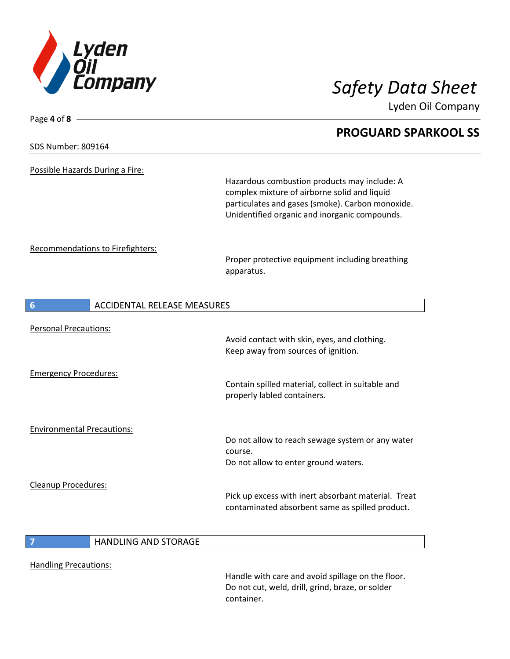

Lyden Oil Company

# Page **4** of **8 PROGUARD SPARKOOL SS** SDS Number: 809164 Possible Hazards During a Fire: Hazardous combustion products may include: A complex mixture of airborne solid and liquid particulates and gases (smoke). Carbon monoxide. Unidentified organic and inorganic compounds. Recommendations to Firefighters: Proper protective equipment including breathing apparatus. **6** ACCIDENTAL RELEASE MEASURES Personal Precautions: Avoid contact with skin, eyes, and clothing. Keep away from sources of ignition. Emergency Procedures: Contain spilled material, collect in suitable and properly labled containers. Environmental Precautions: Do not allow to reach sewage system or any water course. Do not allow to enter ground waters. Cleanup Procedures: Pick up excess with inert absorbant material. Treat contaminated absorbent same as spilled product. **7** HANDLING AND STORAGE

Handling Precautions:

Handle with care and avoid spillage on the floor. Do not cut, weld, drill, grind, braze, or solder container.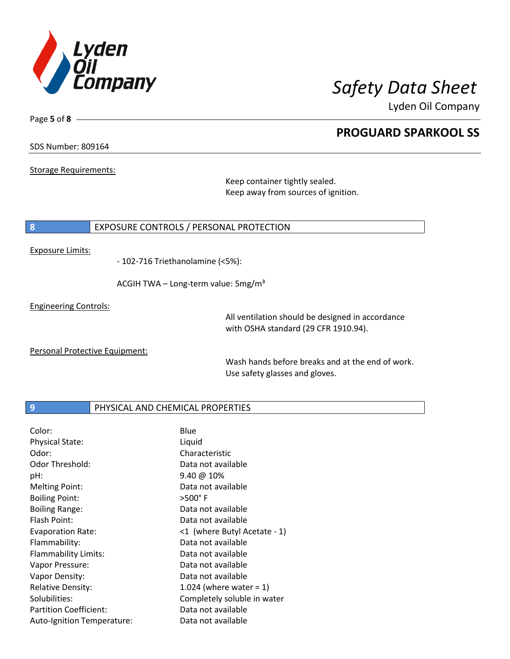

Lyden Oil Company

### SDS Number: 809164

Page **5** of **8**

Storage Requirements:

Keep container tightly sealed. Keep away from sources of ignition.

### **8** EXPOSURE CONTROLS / PERSONAL PROTECTION

### Exposure Limits:

- 102-716 Triethanolamine (<5%):

ACGIH TWA - Long-term value: 5mg/m<sup>3</sup>

Engineering Controls:

All ventilation should be designed in accordance with OSHA standard (29 CFR 1910.94).

Personal Protective Equipment:

Wash hands before breaks and at the end of work. Use safety glasses and gloves.

## **9 PHYSICAL AND CHEMICAL PROPERTIES**

| Color:                      | Blue                         |
|-----------------------------|------------------------------|
| <b>Physical State:</b>      | Liquid                       |
| Odor:                       | Characteristic               |
| Odor Threshold:             | Data not available           |
| pH:                         | $9.40 \ @ 10\%$              |
| <b>Melting Point:</b>       | Data not available           |
| <b>Boiling Point:</b>       | $>500^\circ$ F               |
| <b>Boiling Range:</b>       | Data not available           |
| Flash Point:                | Data not available           |
| <b>Evaporation Rate:</b>    | <1 (where Butyl Acetate - 1) |
| Flammability:               | Data not available           |
| <b>Flammability Limits:</b> | Data not available           |
| Vapor Pressure:             | Data not available           |
| Vapor Density:              | Data not available           |
| <b>Relative Density:</b>    | 1.024 (where water = $1$ )   |
| Solubilities:               | Completely soluble in water  |
| Partition Coefficient:      | Data not available           |
| Auto-Ignition Temperature:  | Data not available           |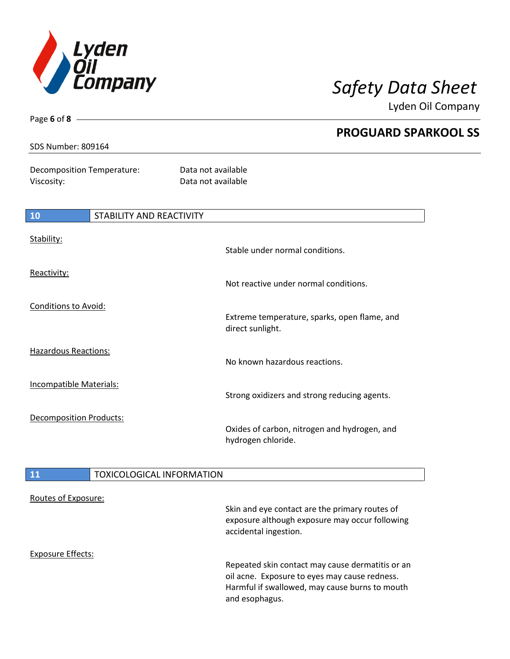

Lyden Oil Company

Page **6** of **8**

Decomposition Temperature: Data not available Viscosity: Viscosity: Notice of the Data not available

| 10                             | STABILITY AND REACTIVITY |                                                                    |
|--------------------------------|--------------------------|--------------------------------------------------------------------|
| Stability:                     |                          | Stable under normal conditions.                                    |
| Reactivity:                    |                          | Not reactive under normal conditions.                              |
| <b>Conditions to Avoid:</b>    |                          | Extreme temperature, sparks, open flame, and<br>direct sunlight.   |
| <b>Hazardous Reactions:</b>    |                          | No known hazardous reactions.                                      |
| <b>Incompatible Materials:</b> |                          | Strong oxidizers and strong reducing agents.                       |
| <b>Decomposition Products:</b> |                          | Oxides of carbon, nitrogen and hydrogen, and<br>hydrogen chloride. |

# 11 | TOXICOLOGICAL INFORMATION

| Routes of Exposure: | Skin and eye contact are the primary routes of<br>exposure although exposure may occur following<br>accidental ingestion.                           |
|---------------------|-----------------------------------------------------------------------------------------------------------------------------------------------------|
| Exposure Effects:   | Repeated skin contact may cause dermatitis or an<br>oil acne. Exposure to eyes may cause redness.<br>Harmful if swallowed, may cause burns to mouth |
|                     | and esophagus.                                                                                                                                      |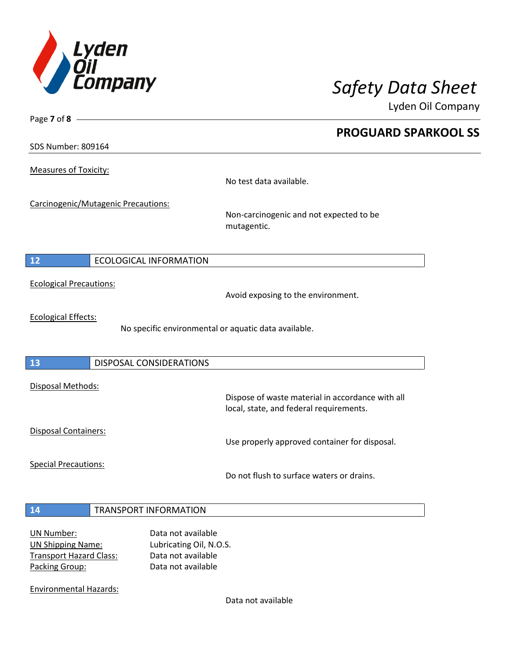

Lyden Oil Company

SDS Number: 809164

Page **7** of **8**

Measures of Toxicity:

No test data available.

Carcinogenic/Mutagenic Precautions:

Non-carcinogenic and not expected to be mutagentic.

# **12** ECOLOGICAL INFORMATION

Ecological Precautions:

Avoid exposing to the environment.

Ecological Effects:

No specific environmental or aquatic data available.

## **13** DISPOSAL CONSIDERATIONS

Disposal Methods:

Disposal Containers:

Use properly approved container for disposal.

Dispose of waste material in accordance with all

Special Precautions:

Do not flush to surface waters or drains.

local, state, and federal requirements.

### **14** TRANSPORT INFORMATION

| <b>UN Number:</b>              |  |
|--------------------------------|--|
| <b>UN Shipping Name:</b>       |  |
| <b>Transport Hazard Class:</b> |  |
| Packing Group:                 |  |

Data not available Lubricating Oil, N.O.S. Data not available Data not available

Environmental Hazards:

Data not available